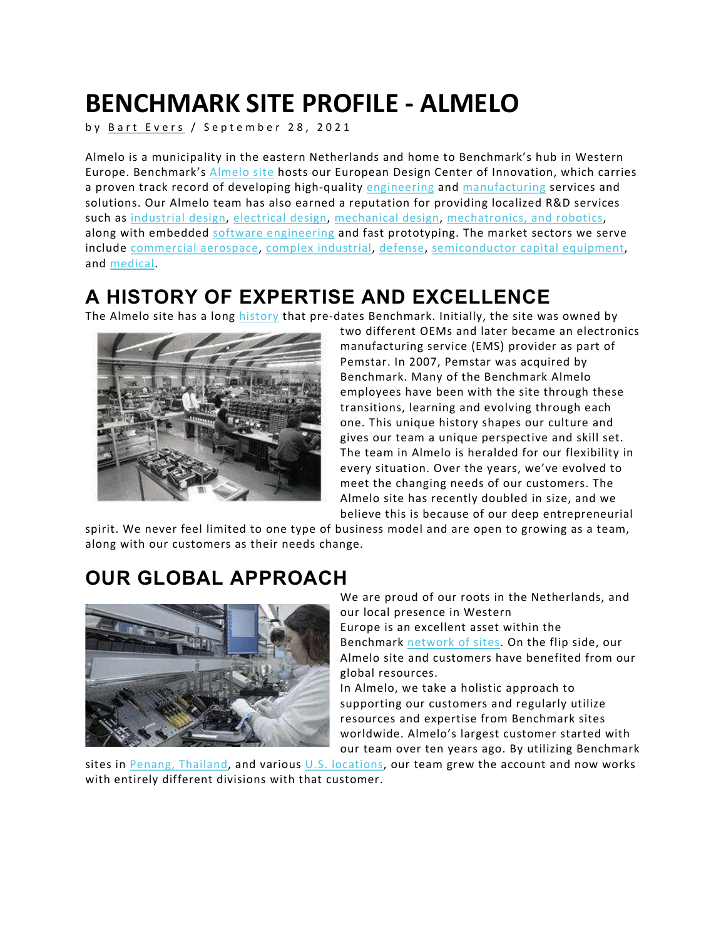# BENCHMARK SITE PROFILE - ALMELO

by Bart Evers / September 28, 2021

Almelo is a municipality in the eastern Netherlands and home to Benchmark's hub in Western Europe. Benchmark's Almelo site hosts our European Design Center of Innovation, which carries a proven track record of developing high-quality engineering and manufacturing services and solutions. Our Almelo team has also earned a reputation for providing localized R&D services such as industrial design, electrical design, mechanical design, mechatronics, and robotics, along with embedded software engineering and fast prototyping. The market sectors we serve include commercial aerospace, complex industrial, defense, semiconductor capital equipment, and medical.

## A HISTORY OF EXPERTISE AND EXCELLENCE

The Almelo site has a long history that pre-dates Benchmark. Initially, the site was owned by



two different OEMs and later became an electronics manufacturing service (EMS) provider as part of Pemstar. In 2007, Pemstar was acquired by Benchmark. Many of the Benchmark Almelo employees have been with the site through these transitions, learning and evolving through each one. This unique history shapes our culture and gives our team a unique perspective and skill set. The team in Almelo is heralded for our flexibility in every situation. Over the years, we've evolved to meet the changing needs of our customers. The Almelo site has recently doubled in size, and we believe this is because of our deep entrepreneurial

spirit. We never feel limited to one type of business model and are open to growing as a team, along with our customers as their needs change.

#### OUR GLOBAL APPROACH



We are proud of our roots in the Netherlands, and our local presence in Western Europe is an excellent asset within the Benchmark network of sites. On the flip side, our Almelo site and customers have benefited from our global resources.

In Almelo, we take a holistic approach to supporting our customers and regularly utilize resources and expertise from Benchmark sites worldwide. Almelo's largest customer started with our team over ten years ago. By utilizing Benchmark

sites in Penang, Thailand, and various  $U.S.$  locations, our team grew the account and now works with entirely different divisions with that customer.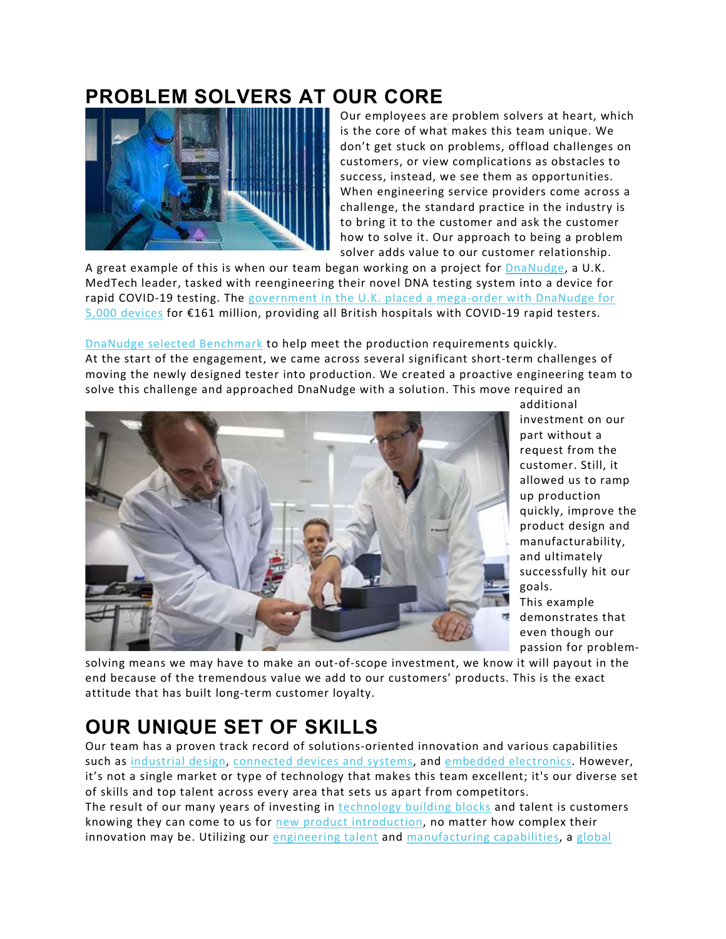#### PROBLEM SOLVERS AT OUR CORE



Our employees are problem solvers at heart, which is the core of what makes this team unique. We don't get stuck on problems, offload challenges on customers, or view complications as obstacles to success, instead, we see them as opportunities. When engineering service providers come across a challenge, the standard practice in the industry is to bring it to the customer and ask the customer how to solve it. Our approach to being a problem solver adds value to our customer relationship.

A great example of this is when our team began working on a project for DnaNudge, a U.K. MedTech leader, tasked with reengineering their novel DNA testing system into a device for rapid COVID-19 testing. The government in the U.K. placed a mega-order with DnaNudge for 5,000 devices for €161 million, providing all British hospitals with COVID-19 rapid testers.

DnaNudge selected Benchmark to help meet the production requirements quickly. At the start of the engagement, we came across several significant short-term challenges of moving the newly designed tester into production. We created a proactive engineering team to solve this challenge and approached DnaNudge with a solution. This move required an



additional investment on our part without a request from the customer. Still, it allowed us to ramp up production quickly, improve the product design and manufacturability, and ultimately successfully hit our goals.

This example demonstrates that even though our passion for problem-

solving means we may have to make an out-of-scope investment, we know it will payout in the end because of the tremendous value we add to our customers' products. This is the exact attitude that has built long-term customer loyalty.

## OUR UNIQUE SET OF SKILLS

Our team has a proven track record of solutions-oriented innovation and various capabilities such as industrial design, connected devices and systems, and embedded electronics. However, it's not a single market or type of technology that makes this team excellent; it's our diverse set of skills and top talent across every area that sets us apart from competitors. The result of our many years of investing in technology building blocks and talent is customers knowing they can come to us for new product introduction, no matter how complex their innovation may be. Utilizing our engineering talent and manufacturing capabilities, a global